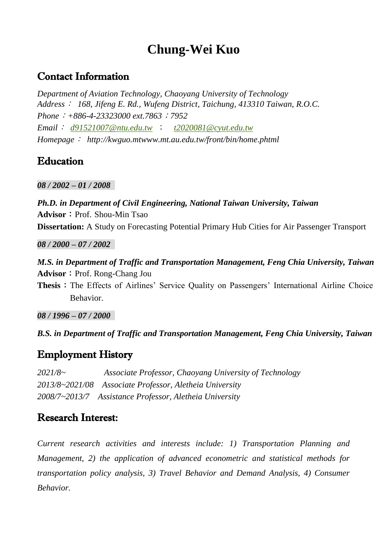# **Chung-Wei Kuo**

### Contact Information

*Department of Aviation Technology, Chaoyang University of Technology Address*: *168, Jifeng E. Rd., Wufeng District, Taichung, 413310 Taiwan, R.O.C. Phone*:*+886-4-23323000 ext.7863*;*7952 Email*: *[d91521007@ntu.edu.tw](mailto:d91521007@ntu.edu.tw)* ; *[t2020081@cyut.edu.tw](mailto:t2020081@cyut.edu.tw) Homepage*: *http://kwguo.mtwww.mt.au.edu.tw/front/bin/home.phtml* 

## **Education**

*08 / 2002 – 01 / 2008*

*Ph.D. in Department of Civil Engineering, National Taiwan University, Taiwan* **Advisor**: Prof. Shou-Min Tsao **Dissertation:** A Study on Forecasting Potential Primary Hub Cities for Air Passenger Transport

*08 / 2000 – 07 / 2002* 

*M.S. in Department of Traffic and Transportation Management, Feng Chia University, Taiwan* **Advisor**: Prof. Rong-Chang Jou

**Thesis**: The Effects of Airlines' Service Quality on Passengers' International Airline Choice Behavior.

*08 / 1996 – 07 / 2000* 

*B.S. in Department of Traffic and Transportation Management, Feng Chia University, Taiwan*

## Employment History

*2021/8~ Associate Professor, Chaoyang University of Technology 2013/8~2021/08 Associate Professor, Aletheia University 2008/7~2013/7 Assistance Professor, Aletheia University*

### Research Interest:

*Current research activities and interests include: 1) Transportation Planning and Management, 2) the application of advanced econometric and statistical methods for transportation policy analysis, 3) Travel Behavior and Demand Analysis, 4) Consumer Behavior.*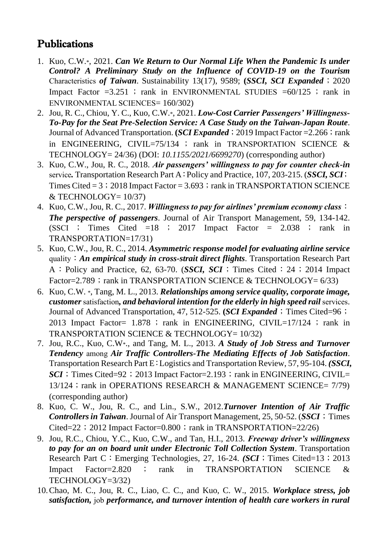## Publications

- 1. Kuo, C.W.\*, 2021. *Can We Return to Our Normal Life When the Pandemic Is under Control? A Preliminary Study on the Influence of COVID-19 on the Tourism*  Characteristics *of Taiwan*. Sustainability 13(17), 9589; **(***SSCI, SCI Expanded*;2020 Impact Factor =3.251 ; rank in ENVIRONMENTAL STUDIES =60/125 ; rank in ENVIRONMENTAL SCIENCES= 160/302)
- 2. Jou, R. C., Chiou, Y. C., Kuo, C.W.\*, 2021. *Low-Cost Carrier Passengers' Willingness-To-Pay for the Seat Pre-Selection Service: A Case Study on the Taiwan-Japan Route*. Journal of Advanced Transportation. **(***SCI Expanded*; 2019 Impact Factor = 2.266; rank in ENGINEERING, CIVIL=75/134 ; rank in TRANSPORTATION SCIENCE  $\&$ TECHNOLOGY= 24/36) (DOI: *10.1155/2021/6699270*) (corresponding author)
- 3. Kuo, C.W., Jou, R. C., 2018. *Air passengers' willingness to pay for counter check-in*  service*.* Transportation Research Part A:Policy and Practice, 107, 203-215. (*SSCI, SCI*; Times Cited  $= 3$ ; 2018 Impact Factor  $= 3.693$ ; rank in TRANSPORTATION SCIENCE  $&$  TECHNOLOGY= 10/37)
- 4. Kuo, C.W., Jou, R. C., 2017. *Willingness to pay for airlines' premium economy class*: *The perspective of passengers*. Journal of Air Transport Management, 59, 134-142. (SSCI ; Times Cited  $=18$  ; 2017 Impact Factor  $= 2.038$  ; rank in TRANSPORTATION=17/31)
- 5. Kuo, C.W., Jou, R. C., 2014. *Asymmetric response model for evaluating airline service*  quality:*An empirical study in cross-strait direct flights*. Transportation Research Part A: Policy and Practice, 62, 63-70. (*SSCI*, *SCI*; Times Cited: 24; 2014 Impact Factor=2.789; rank in TRANSPORTATION SCIENCE & TECHNOLOGY=  $6/33$ )
- 6. Kuo, C.W. \*, Tang, M. L., 2013. *Relationships among service quality, corporate image, customer* satisfaction*, and behavioral intention for the elderly in high speed rail* services. Journal of Advanced Transportation, 47, 512-525. **(***SCI Expanded*; Times Cited=96; 2013 Impact Factor= 1.878 ; rank in ENGINEERING, CIVIL=17/124 ; rank in TRANSPORTATION SCIENCE & TECHNOLOGY= 10/32)
- 7. Jou, R.C., Kuo, C.W\*., and Tang, M. L., 2013. *A Study of Job Stress and Turnover Tendency* among *Air Traffic Controllers-The Mediating Effects of Job Satisfaction*. Transportation Research Part E:Logistics and Transportation Review, 57, 95-104. *(SSCI, SCI*: Times Cited=92; 2013 Impact Factor=2.193; rank in ENGINEERING, CIVIL= 13/124; rank in OPERATIONS RESEARCH & MANAGEMENT SCIENCE= 7/79) (corresponding author)
- 8. Kuo, C. W., Jou, R. C., and Lin., S.W., 2012.*Turnover Intention of Air Traffic Controllers in Taiwan*. Journal of Air Transport Management, 25, 50-52. (*SSCI*; Times Cited=22; 2012 Impact Factor=0.800; rank in TRANSPORTATION=22/26)
- 9. Jou, R.C., Chiou, Y.C., Kuo, C.W., and Tan, H.I., 2013. *Freeway driver's willingness to pay for an on board unit under Electronic Toll Collection System*. Transportation Research Part C: Emerging Technologies, 27, 16-24. *(SCI*; Times Cited=13; 2013) Impact Factor=2.820 ; rank in TRANSPORTATION SCIENCE & TECHNOLOGY=3/32)
- 10.Chao, M. C., Jou, R. C., Liao, C. C., and Kuo, C. W., 2015. *Workplace stress, job satisfaction,* job *performance, and turnover intention of health care workers in rural*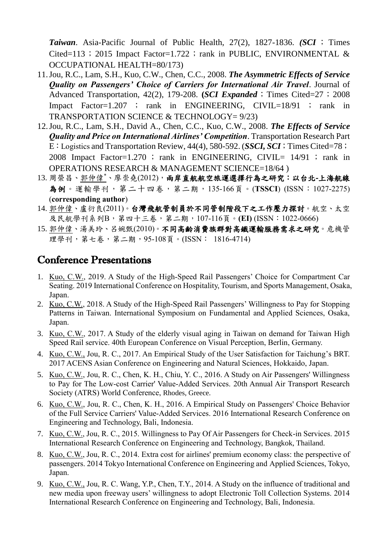*Taiwan*. Asia-Pacific Journal of Public Health, 27(2), 1827-1836. *(SCI* ; Times Cited=113; 2015 Impact Factor=1.722; rank in PUBLIC, ENVIRONMENTAL  $\&$ OCCUPATIONAL HEALTH=80/173)

- 11.Jou, R.C., Lam, S.H., Kuo, C.W., Chen, C.C., 2008. *The Asymmetric Effects of Service Quality on Passengers' Choice of Carriers for International Air Travel*. Journal of Advanced Transportation, 42(2), 179-208. **(***SCI Expanded*; Times Cited=27; 2008 Impact Factor=1.207 ; rank in ENGINEERING, CIVIL=18/91 ; rank in TRANSPORTATION SCIENCE & TECHNOLOGY= 9/23)
- 12.Jou, R.C., Lam, S.H., David A., Chen, C.C., Kuo, C.W., 2008. *The Effects of Service Quality and Price on International Airlines' Competition*. Transportation Research Part E: Logistics and Transportation Review, 44(4), 580-592. (*SSCI*, *SCI*; Times Cited=78; 2008 Impact Factor=1.270 ; rank in ENGINEERING, CIVIL= 14/91 ; rank in OPERATIONS RESEARCH & MANAGEMENT SCIENCE=18/64 )
- 13. 周榮昌、郭仲偉\*、廖崇堯(2012),兩岸直航航空旅運選擇行為之研究:以台北**-**上海航線 為例。運輸學刊,第二十四卷,第二期,135-166頁。(**TSSCI**) (ISSN:1027-2275) (**corresponding author**)
- 14. 郭仲偉、盧衍良(2011)。台灣飛航管制員於不同管制階段下之工作壓力探討。航空、太空 及民航學刊系列B,第四十三卷,第二期,107-116頁。**(EI)** (ISSN:1022-0666)
- 15. 郭仲偉、湯美玲、呂婉甄(2010)。不同高齡消費族群對高鐵運輸服務需求之研究。危機管 理學刊, 第七卷, 第二期, 95-108頁。(ISSN: 1816-4714)

### Conference Presentations

- 1. Kuo, C.W., 2019. A Study of the High-Speed Rail Passengers' Choice for Compartment Car Seating. 2019 International Conference on Hospitality, Tourism, and Sports Management, Osaka, Japan.
- 2. Kuo, C.W., 2018. A Study of the High-Speed Rail Passengers' Willingness to Pay for Stopping Patterns in Taiwan. International Symposium on Fundamental and Applied Sciences, Osaka, Japan.
- 3. Kuo, C.W., 2017. A Study of the elderly visual aging in Taiwan on demand for Taiwan High Speed Rail service. 40th European Conference on Visual Perception, Berlin, Germany.
- 4. Kuo, C.W., Jou, R. C., 2017. An Empirical Study of the User Satisfaction for Taichung's BRT. 2017 ACENS Asian Conference on Engineering and Natural Sciences, Hokkaido, Japan.
- 5. Kuo, C.W., Jou, R. C., Chen, K. H., Chiu, Y. C., 2016. A Study on Air Passengers' Willingness to Pay for The Low-cost Carrier' Value-Added Services. 20th Annual Air Transport Research Society (ATRS) World Conference, Rhodes, Greece.
- 6. Kuo, C.W., Jou, R. C., Chen, K. H., 2016. A Empirical Study on Passengers' Choice Behavior of the Full Service Carriers' Value-Added Services. 2016 International Research Conference on Engineering and Technology, Bali, Indonesia.
- 7. Kuo, C.W., Jou, R. C., 2015. Willingness to Pay Of Air Passengers for Check-in Services. 2015 International Research Conference on Engineering and Technology, Bangkok, Thailand.
- 8. Kuo, C.W., Jou, R. C., 2014. Extra cost for airlines' premium economy class: the perspective of passengers. 2014 Tokyo International Conference on Engineering and Applied Sciences, Tokyo, Japan.
- 9. Kuo, C.W., Jou, R. C. Wang, Y.P., Chen, T.Y., 2014. A Study on the influence of traditional and new media upon freeway users' willingness to adopt Electronic Toll Collection Systems. 2014 International Research Conference on Engineering and Technology, Bali, Indonesia.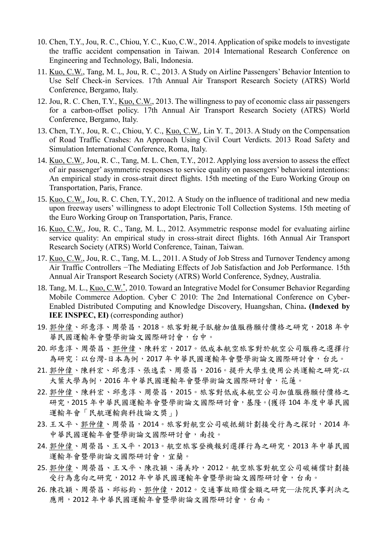- 10. Chen, T.Y., Jou, R. C., Chiou, Y. C., Kuo, C.W., 2014. Application of spike models to investigate the traffic accident compensation in Taiwan. 2014 International Research Conference on Engineering and Technology, Bali, Indonesia.
- 11. Kuo, C.W., Tang, M. L, Jou, R. C., 2013. A Study on Airline Passengers' Behavior Intention to Use Self Check-in Services. 17th Annual Air Transport Research Society (ATRS) World Conference, Bergamo, Italy.
- 12. Jou, R. C. Chen, T.Y., Kuo, C.W., 2013. The willingness to pay of economic class air passengers for a carbon-offset policy. 17th Annual Air Transport Research Society (ATRS) World Conference, Bergamo, Italy.
- 13. Chen, T.Y., Jou, R. C., Chiou, Y. C., Kuo, C.W., Lin Y. T., 2013. A Study on the Compensation of Road Traffic Crashes: An Approach Using Civil Court Verdicts. 2013 Road Safety and Simulation International Conference, Roma, Italy.
- 14. Kuo, C.W., Jou, R. C., Tang, M. L. Chen, T.Y., 2012. Applying loss aversion to assess the effect of air passenger' asymmetric responses to service quality on passengers' behavioral intentions: An empirical study in cross-strait direct flights. 15th meeting of the Euro Working Group on Transportation, Paris, France.
- 15. Kuo, C.W., Jou, R. C. Chen, T.Y., 2012. A Study on the influence of traditional and new media upon freeway users' willingness to adopt Electronic Toll Collection Systems. 15th meeting of the Euro Working Group on Transportation, Paris, France.
- 16. Kuo, C.W., Jou, R. C., Tang, M. L., 2012. Asymmetric response model for evaluating airline service quality: An empirical study in cross-strait direct flights. 16th Annual Air Transport Research Society (ATRS) World Conference, Tainan, Taiwan.
- 17. Kuo, C.W., Jou, R. C., Tang, M. L., 2011. A Study of Job Stress and Turnover Tendency among Air Traffic Controllers −The Mediating Effects of Job Satisfaction and Job Performance. 15th Annual Air Transport Research Society (ATRS) World Conference, Sydney, Australia.
- 18. Tang, M. L., Kuo, C.W.\*, 2010. Toward an Integrative Model for Consumer Behavior Regarding Mobile Commerce Adoption. Cyber C 2010: The 2nd International Conference on Cyber-Enabled Distributed Computing and Knowledge Discovery, Huangshan, China**. (Indexed by IEE INSPEC, EI)** (corresponding author)
- 19. 郭仲偉、邱意淳、周榮昌, 2018。旅客對親子臥艙加值服務願付價格之研究, 2018年中 華民國運輸年會暨學術論文國際研討會,台中。
- 20. 邱意淳、周榮昌、郭仲偉、陳科宏,2017。低成本航空旅客對於航空公司服務之選擇行 為研究:以台灣-日本為例,2017年中華民國運輸年會暨學術論文國際研討會,台北。
- 21. 郭仲偉、陳科宏、邱意淳、張逸柔、周榮昌,2016。提升大學生使用公共運輸之研究-以 大葉大學為例,2016 年中華民國運輸年會暨學術論文國際研討會,花蓮。
- 22. 郭仲偉、陳科宏、邱意淳、周榮昌,2015。旅客對低成本航空公司加值服務願付價格之 研究,2015 年中華民國運輸年會暨學術論文國際研討會,基隆。(獲得 104 年度中華民國 運輸年會「民航運輸與科技論文獎」)
- 23. 王又平、郭仲偉、周榮昌, 2014。旅客對航空公司碳抵銷計劃接受行為之探討, 2014年 中華民國運輸年會暨學術論文國際研討會,南投。
- 24. 郭仲偉、周榮昌、王又平,2013。航空旅客登機報到選擇行為之研究,2013 年中華民國 運輸年會暨學術論文國際研討會,宜蘭。
- 25. 郭仲偉、周榮昌、王又平、陳孜穎、湯美玲,2012。航空旅客對航空公司碳補償計劃接 受行為意向之研究,2012 年中華民國運輸年會暨學術論文國際研討會,台南。
- 26. 陳孜穎、周榮昌、邱裕鈞、郭仲偉,2012。交通事故賠償金額之研究─法院民事判決之 應用, 2012年中華民國運輸年會暨學術論文國際研討會, 台南。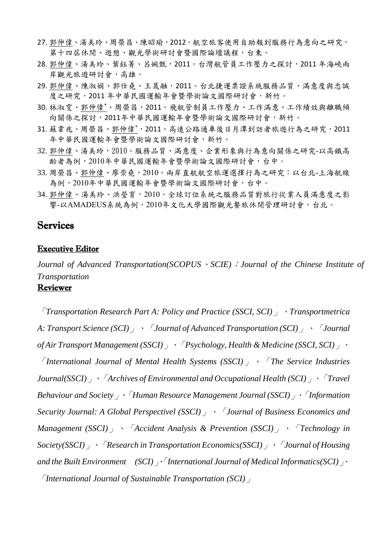- 27. 郭仲偉、湯美玲、周榮昌、陳昭瑜,2012。航空旅客使用自助報到服務行為意向之研究, 第十四屆休閒、遊憩、觀光學術研討會暨國際論壇議程,台東。
- 28. 郭仲偉、湯美玲、葉鈺菁、呂婉甄,2011。台灣航管員工作壓力之探討,2011 年海峽兩 岸觀光旅遊研討會,高雄。
- 29. 郭仲偉、陳淑娟、郭仕堯、王晟融,2011。台北捷運票證系統服務品質、滿意度與忠誠 度之研究,2011年中華民國運輸年會暨學術論文國際研討會,新竹。
- 30. 林淑雯、郭仲偉\*、周榮昌,2011。飛航管制員工作壓力、工作滿意、工作績效與離職傾 向關係之探討,2011年中華民國運輸年會暨學術論文國際研討會,新竹。
- 31. 蘇韋兆、周榮昌、郭仲偉\*,2011。高速公路通車後日月潭到訪者旅遊行為之研究,2011 年中華民國運輸年會暨學術論文國際研討會,新竹。
- 32. 郭仲偉、湯美玲,2010。服務品質、滿意度、企業形象與行為意向關係之研究-以高鐵高 齡者為例,2010年中華民國運輸年會暨學術論文國際研討會,台中。
- 33. 周榮昌、郭仲偉、廖崇堯, 2010。兩岸直航航空旅運選擇行為之研究:以台北-上海航線 為例,2010年中華民國運輸年會暨學術論文國際研討會,台中。
- 34. 郭仲偉、湯美玲、洪瑩育,2010。全球訂位系統之服務品質對旅行從業人員滿意度之影 響-以AMADEUS系統為例,2010年文化大學國際觀光餐旅休閒管理研討會,台北。

#### Services

#### Executive Editor

*Journal of Advanced Transportation(SCOPUS*、*SCIE)*;*Journal of the Chinese Institute of Transportation*

#### Reviewer

「*Transportation Research Part A: Policy and Practice (SSCI, SCI)*」、*Transportmetrica A: Transport Science (SCI)*」、「*Journal of Advanced Transportation (SCI)*」、「*Journal of Air Transport Management (SSCI)*」、「*Psychology, Health & Medicine (SSCI, SCI)*」、 「*International Journal of Mental Health Systems (SSCI)*」、「*The Service Industries Journal(SSCI)*」、「*Archives of Environmental and Occupational Health (SCI)*」、「*Travel Behaviour and Society*」、「*Human Resource Management Journal (SSCI)*」、「*Information Security Journal: A Global Perspectivel (SSCI)*」、「*Journal of Business Economics and Management (SSCI)*」、「*Accident Analysis & Prevention (SSCI)*」、「*Technology in Society(SSCI)*」、「*Research in Transportation Economics(SSCI)*」、「*Journal of Housing and the Built Environment (SCI)*」、「*International Journal of Medical Informatics(SCI)*」、 「*International Journal of Sustainable Transportation (SCI)*」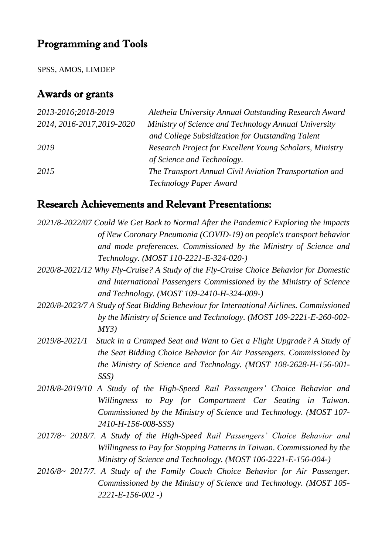## Programming and Tools

SPSS, AMOS, LIMDEP

# Awards or grants

| 2013-2016;2018-2019        | Aletheia University Annual Outstanding Research Award   |
|----------------------------|---------------------------------------------------------|
| 2014, 2016-2017, 2019-2020 | Ministry of Science and Technology Annual University    |
|                            | and College Subsidization for Outstanding Talent        |
| 2019                       | Research Project for Excellent Young Scholars, Ministry |
|                            | of Science and Technology.                              |
| 2015                       | The Transport Annual Civil Aviation Transportation and  |
|                            | Technology Paper Award                                  |

## Research Achievements and Relevant Presentations:

|               | 2021/8-2022/07 Could We Get Back to Normal After the Pandemic? Exploring the impacts     |
|---------------|------------------------------------------------------------------------------------------|
|               | of New Coronary Pneumonia (COVID-19) on people's transport behavior                      |
|               | and mode preferences. Commissioned by the Ministry of Science and                        |
|               | Technology. (MOST 110-2221-E-324-020-)                                                   |
|               | 2020/8-2021/12 Why Fly-Cruise? A Study of the Fly-Cruise Choice Behavior for Domestic    |
|               | and International Passengers Commissioned by the Ministry of Science                     |
|               | and Technology. (MOST 109-2410-H-324-009-)                                               |
|               | 2020/8-2023/7 A Study of Seat Bidding Beheviour for International Airlines. Commissioned |
|               | by the Ministry of Science and Technology. (MOST 109-2221-E-260-002-                     |
|               | MY3)                                                                                     |
| 2019/8-2021/1 |                                                                                          |
|               | Stuck in a Cramped Seat and Want to Get a Flight Upgrade? A Study of                     |
|               | the Seat Bidding Choice Behavior for Air Passengers. Commissioned by                     |
|               | the Ministry of Science and Technology. (MOST 108-2628-H-156-001-                        |
|               | SSS                                                                                      |
|               | 2018/8-2019/10 A Study of the High-Speed Rail Passengers' Choice Behavior and            |
|               | Willingness to Pay for Compartment Car Seating in Taiwan.                                |
|               | Commissioned by the Ministry of Science and Technology. (MOST 107-                       |
|               | 2410-H-156-008-SSS)                                                                      |
|               | 2017/8~ 2018/7. A Study of the High-Speed Rail Passengers' Choice Behavior and           |
|               | Willingness to Pay for Stopping Patterns in Taiwan. Commissioned by the                  |
|               | Ministry of Science and Technology. (MOST 106-2221-E-156-004-)                           |
|               |                                                                                          |
|               | 2016/8~ 2017/7. A Study of the Family Couch Choice Behavior for Air Passenger.           |
|               | Commissioned by the Ministry of Science and Technology. (MOST 105-                       |
|               | $2221 - E - 156 - 002 -$                                                                 |
|               |                                                                                          |